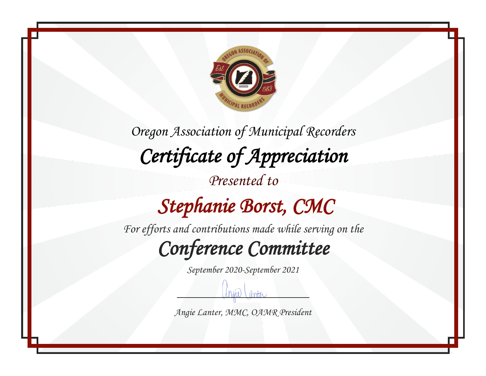

#### *Stephanie Borst, CMC*

*For efforts and contributions made while serving on the*

*Conference Committee* 

*September 2020-September 2021*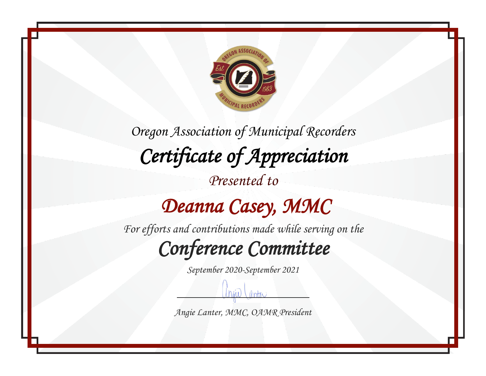

*Presented to*

## *Deanna Casey, MMC*

*For efforts and contributions made while serving on the*

*Conference Committee* 

*September 2020-September 2021*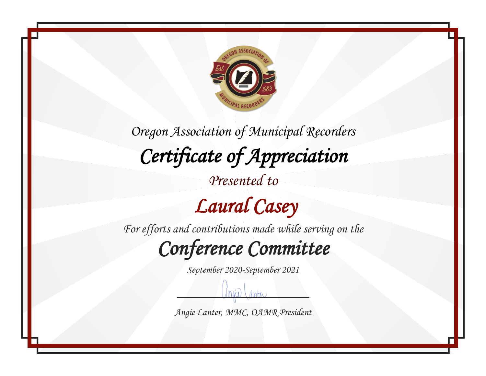

*Presented to*

## *Laural Casey*

*For efforts and contributions made while serving on the*

*Conference Committee* 

*September 2020-September 2021*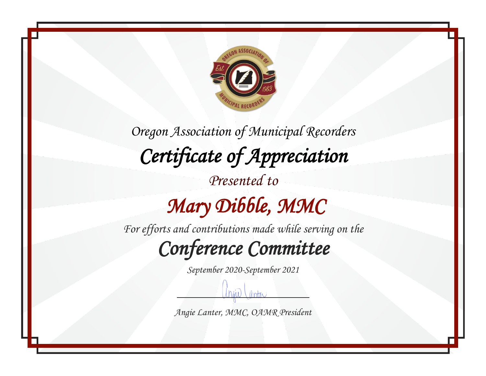

*For efforts and contributions made while serving on the*

*Conference Committee* 

*September 2020-September 2021*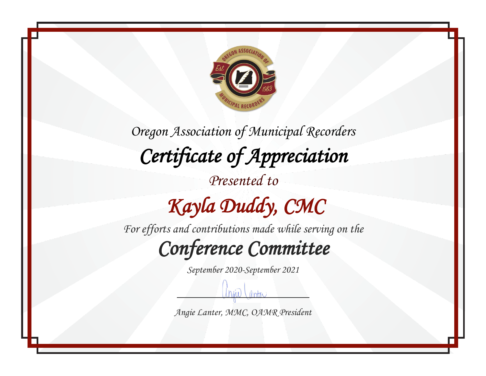

*Presented to*

# *Kayla Duddy, CMC*

*For efforts and contributions made while serving on the*

*Conference Committee* 

*September 2020-September 2021*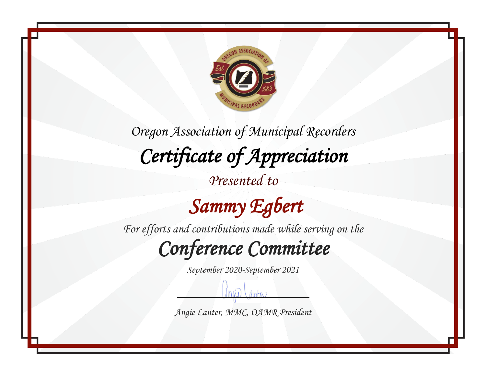

*Presented to*

 *Sammy Egbert* 

*For efforts and contributions made while serving on the*

*Conference Committee* 

*September 2020-September 2021*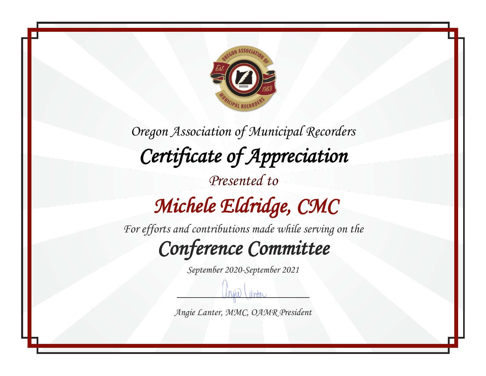

*Oregon Association of Municipal Recorders Certificate of Appreciation Presented to Michele Eldridge, CMC* 

*For efforts and contributions made while serving on the*

*Conference Committee* 

*September 2020-September 2021*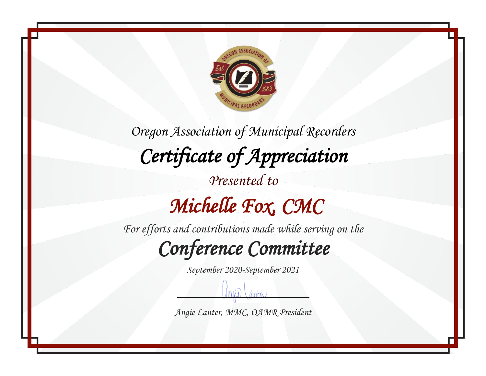

*Oregon Association of Municipal Recorders Certificate of Appreciation Presented to Michelle Fox, CMC* 

*For efforts and contributions made while serving on the*

*Conference Committee* 

*September 2020-September 2021*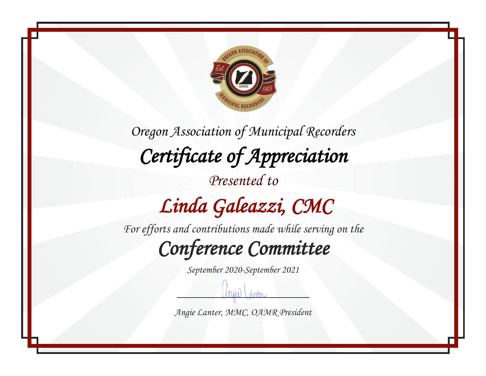

# *Linda Galeazzi, CMC*

*For efforts and contributions made while serving on the*

*Conference Committee* 

*September 2020-September 2021*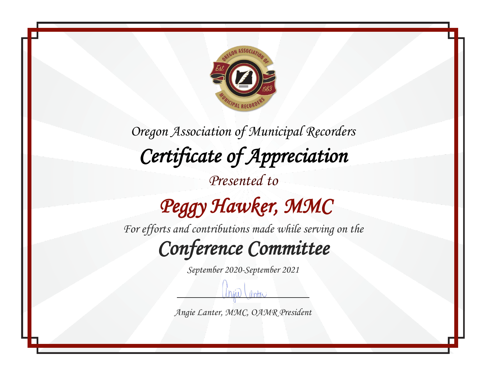

*Presented to*

# *Peggy Hawker, MMC*

*For efforts and contributions made while serving on the*

*Conference Committee* 

*September 2020-September 2021*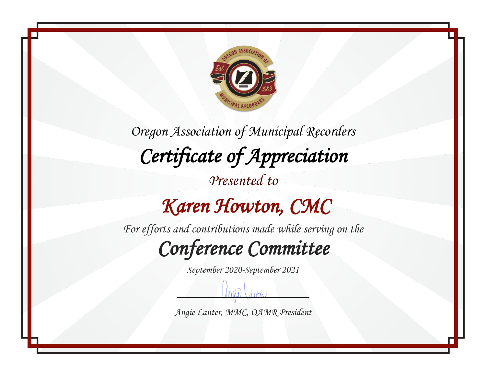

### *Karen Howton, CMC*

*For efforts and contributions made while serving on the*

*Conference Committee* 

*September 2020-September 2021*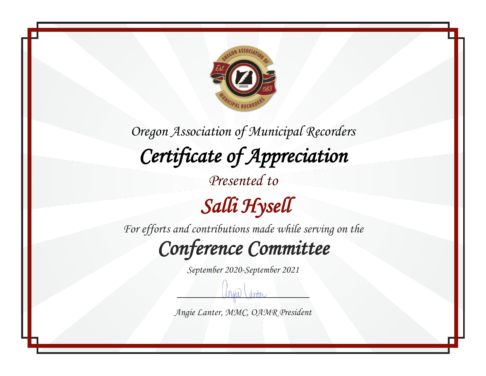

*For efforts and contributions made while serving on the*

*Conference Committee* 

*September 2020-September 2021*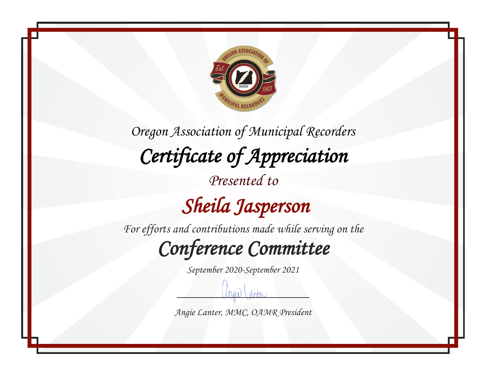

*Presented to*

 *Sheila Jasperson* 

*For efforts and contributions made while serving on the*

*Conference Committee* 

*September 2020-September 2021*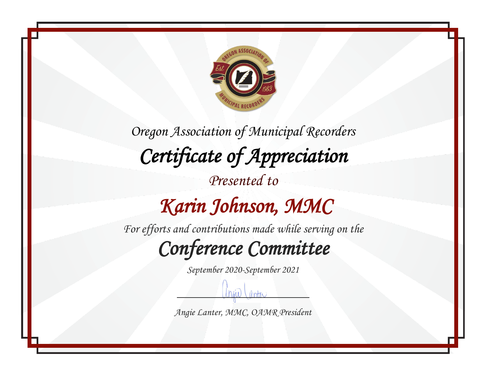

*Oregon Association of Municipal Recorders Certificate of Appreciation Presented to Karin Johnson, MMC* 

*For efforts and contributions made while serving on the*

*Conference Committee* 

*September 2020-September 2021*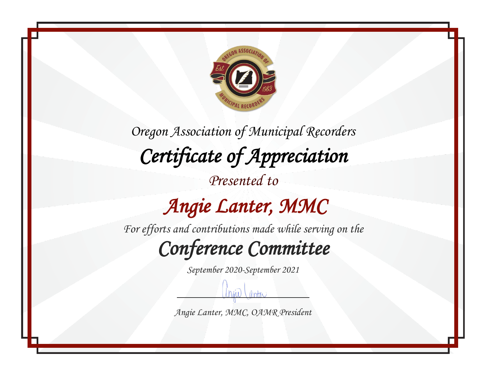

*Presented to*

## *Angie Lanter, MMC*

*For efforts and contributions made while serving on the*

*Conference Committee* 

*September 2020-September 2021*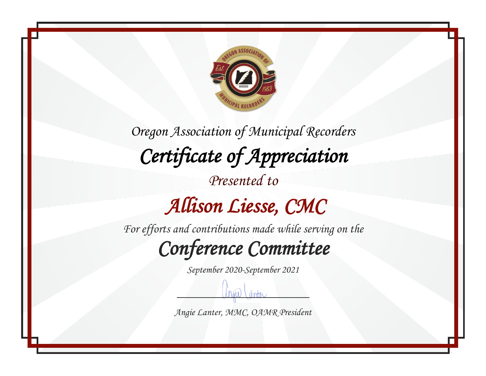

*Oregon Association of Municipal Recorders Certificate of Appreciation Presented to Allison Liesse, CMC* 

*For efforts and contributions made while serving on the*

*Conference Committee* 

*September 2020-September 2021*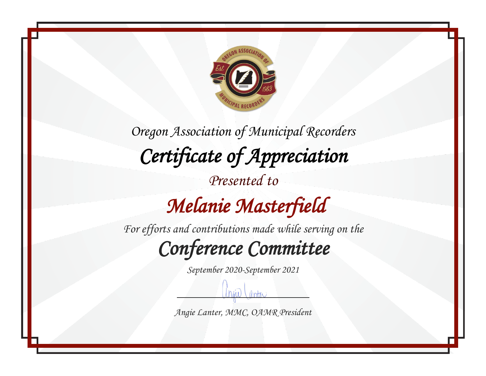

## *Melanie Masterfield*

*For efforts and contributions made while serving on the*

*Conference Committee* 

*September 2020-September 2021*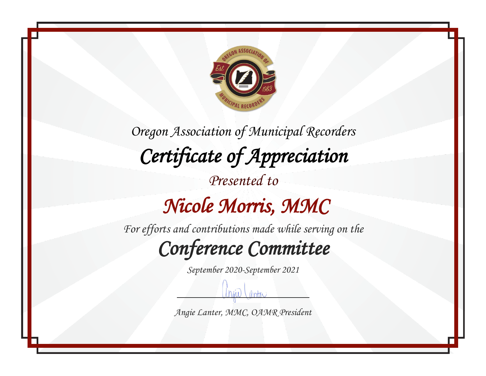

#### *Nicole Morris, MMC*

*For efforts and contributions made while serving on the*

*Conference Committee* 

*September 2020-September 2021*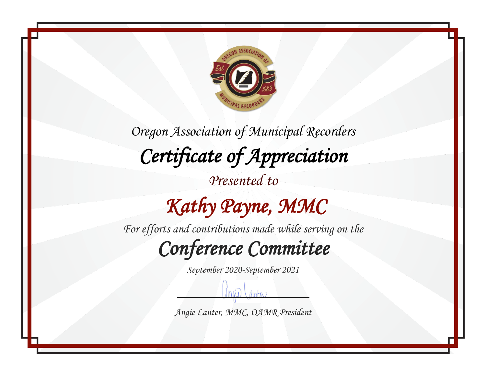

*Presented to*

## *Kathy Payne, MMC*

*For efforts and contributions made while serving on the*

*Conference Committee* 

*September 2020-September 2021*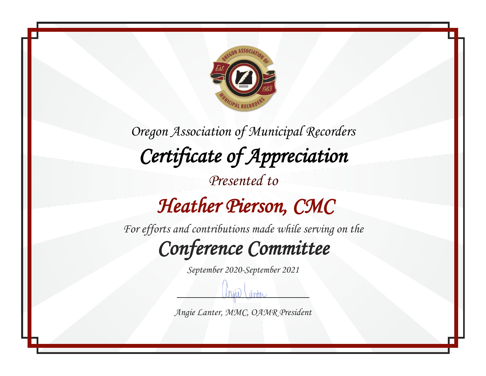

#### *Heather Pierson, CMC*

*For efforts and contributions made while serving on the*

*Conference Committee* 

*September 2020-September 2021*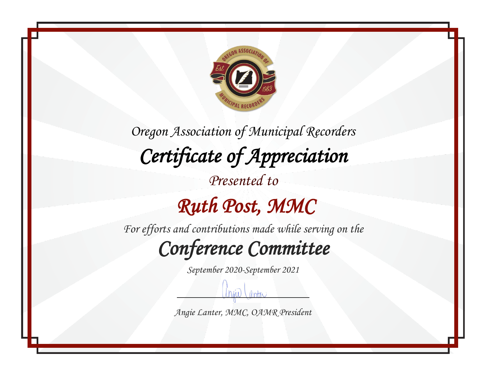

## *Ruth Post, MMC*

*For efforts and contributions made while serving on the*

*Conference Committee* 

*September 2020-September 2021*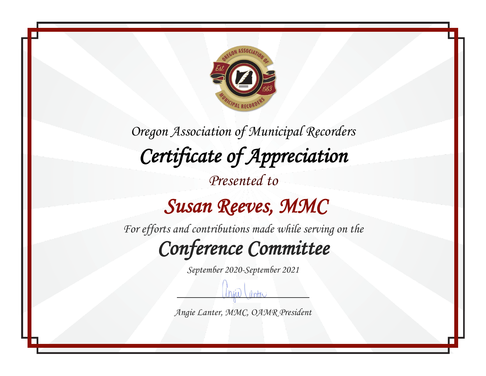

#### *Susan Reeves, MMC*

*For efforts and contributions made while serving on the*

*Conference Committee* 

*September 2020-September 2021*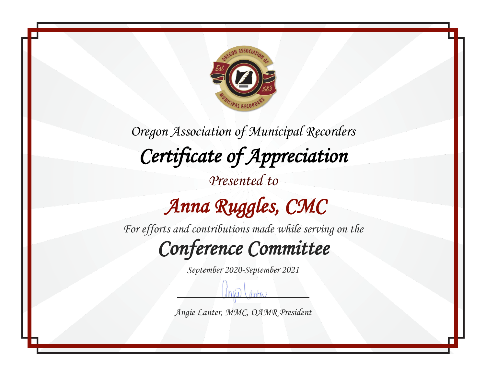

*Presented to*

# *Anna Ruggles, CMC*

*For efforts and contributions made while serving on the*

*Conference Committee* 

*September 2020-September 2021*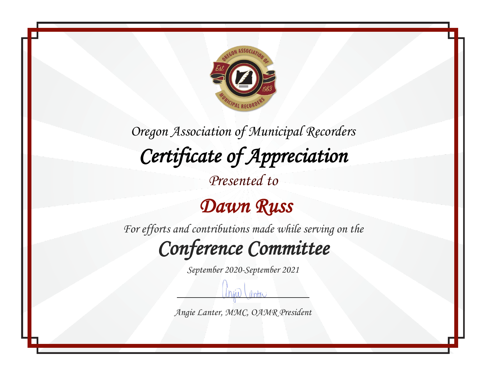

*Presented to*

#### *Dawn Russ*

*For efforts and contributions made while serving on the*

*Conference Committee* 

*September 2020-September 2021*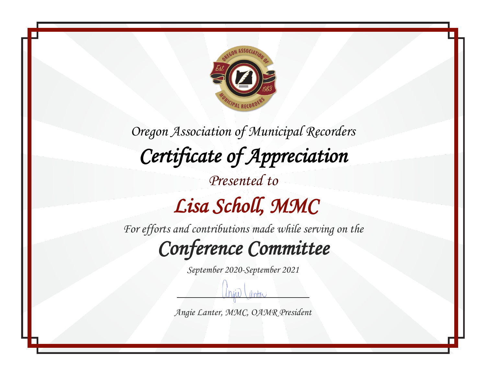

*For efforts and contributions made while serving on the*

*Conference Committee* 

*September 2020-September 2021*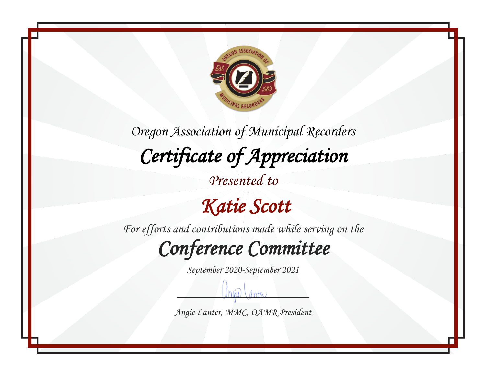

*Presented to*

 *Katie Scott* 

*For efforts and contributions made while serving on the*

*Conference Committee* 

*September 2020-September 2021*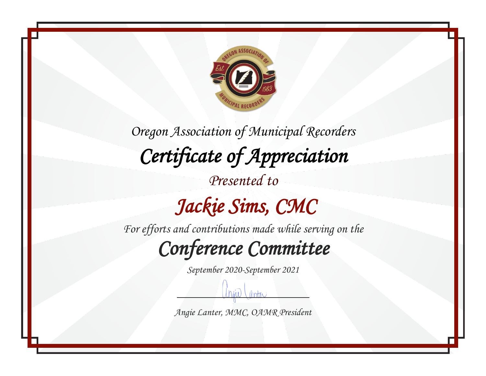

*Presented to*

## *Jackie Sims, CMC*

*For efforts and contributions made while serving on the*

*Conference Committee* 

*September 2020-September 2021*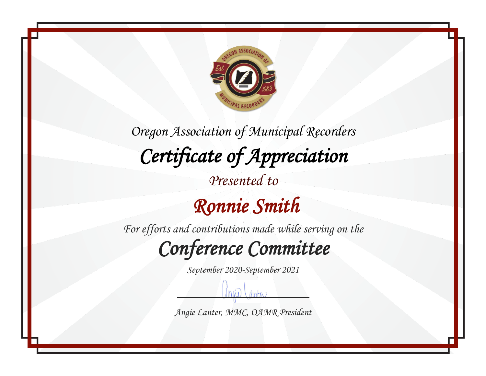

### *Ronnie Smith*

*For efforts and contributions made while serving on the*

*Conference Committee* 

*September 2020-September 2021*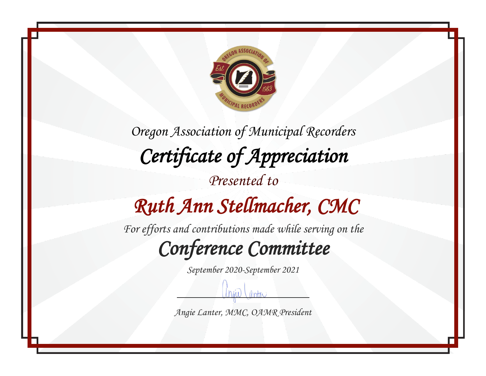

*Oregon Association of Municipal Recorders Certificate of Appreciation Presented to Ruth Ann Stellmacher, CMC* 

*For efforts and contributions made while serving on the*

*Conference Committee* 

*September 2020-September 2021*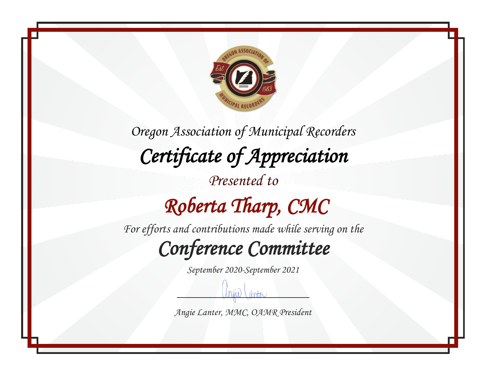

*Oregon Association of Municipal Recorders Certificate of Appreciation Presented to Roberta Tharp, CMC* 

*For efforts and contributions made while serving on the*

*Conference Committee* 

*September 2020-September 2021*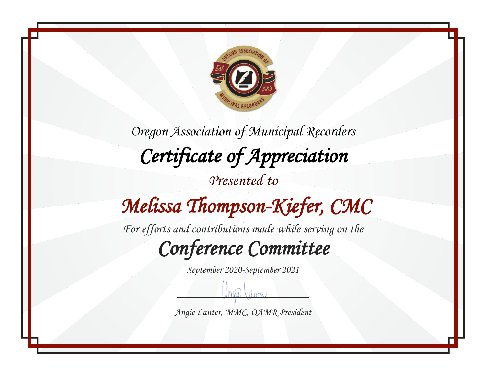

## *Melissa Thompson-Kiefer, CMC*

*For efforts and contributions made while serving on the*

*Conference Committee* 

*September 2020-September 2021*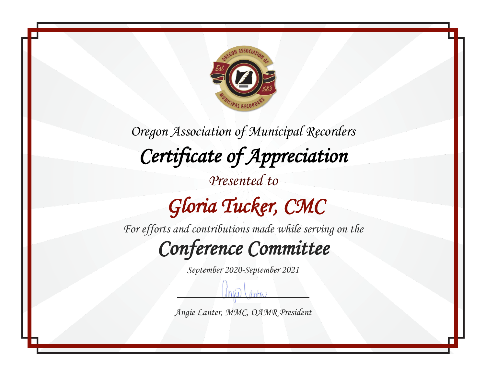

# *Gloria Tucker, CMC*

*For efforts and contributions made while serving on the*

*Conference Committee* 

*September 2020-September 2021*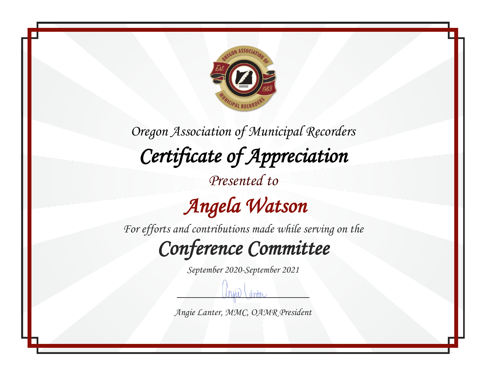

 *Angela Watson* 

*For efforts and contributions made while serving on the*

*Conference Committee* 

*September 2020-September 2021*